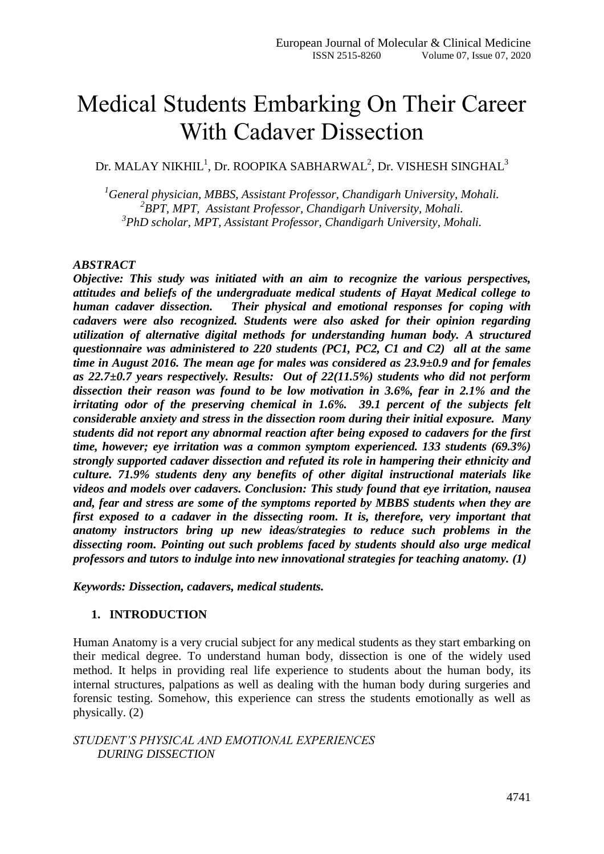# Medical Students Embarking On Their Career With Cadaver Dissection

Dr. MALAY NIKHIL $^1$ , Dr. ROOPIKA SABHARWAL $^2$ , Dr. VISHESH SINGHAL $^3$ 

*<sup>1</sup>General physician, MBBS, Assistant Professor, Chandigarh University, Mohali. 2 BPT, MPT, Assistant Professor, Chandigarh University, Mohali. 3 PhD scholar, MPT, Assistant Professor, Chandigarh University, Mohali.*

#### *ABSTRACT*

*Objective: This study was initiated with an aim to recognize the various perspectives, attitudes and beliefs of the undergraduate medical students of Hayat Medical college to human cadaver dissection. Their physical and emotional responses for coping with cadavers were also recognized. Students were also asked for their opinion regarding utilization of alternative digital methods for understanding human body. A structured questionnaire was administered to 220 students (PC1, PC2, C1 and C2) all at the same time in August 2016. The mean age for males was considered as 23.9±0.9 and for females as 22.7±0.7 years respectively. Results: Out of 22(11.5%) students who did not perform dissection their reason was found to be low motivation in 3.6%, fear in 2.1% and the irritating odor of the preserving chemical in 1.6%. 39.1 percent of the subjects felt considerable anxiety and stress in the dissection room during their initial exposure. Many students did not report any abnormal reaction after being exposed to cadavers for the first time, however; eye irritation was a common symptom experienced. 133 students (69.3%) strongly supported cadaver dissection and refuted its role in hampering their ethnicity and culture. 71.9% students deny any benefits of other digital instructional materials like videos and models over cadavers. Conclusion: This study found that eye irritation, nausea and, fear and stress are some of the symptoms reported by MBBS students when they are first exposed to a cadaver in the dissecting room. It is, therefore, very important that anatomy instructors bring up new ideas/strategies to reduce such problems in the dissecting room. Pointing out such problems faced by students should also urge medical professors and tutors to indulge into new innovational strategies for teaching anatomy. (1)*

*Keywords: Dissection, cadavers, medical students.*

#### **1. INTRODUCTION**

Human Anatomy is a very crucial subject for any medical students as they start embarking on their medical degree. To understand human body, dissection is one of the widely used method. It helps in providing real life experience to students about the human body, its internal structures, palpations as well as dealing with the human body during surgeries and forensic testing. Somehow, this experience can stress the students emotionally as well as physically. (2)

*STUDENT'S PHYSICAL AND EMOTIONAL EXPERIENCES DURING DISSECTION*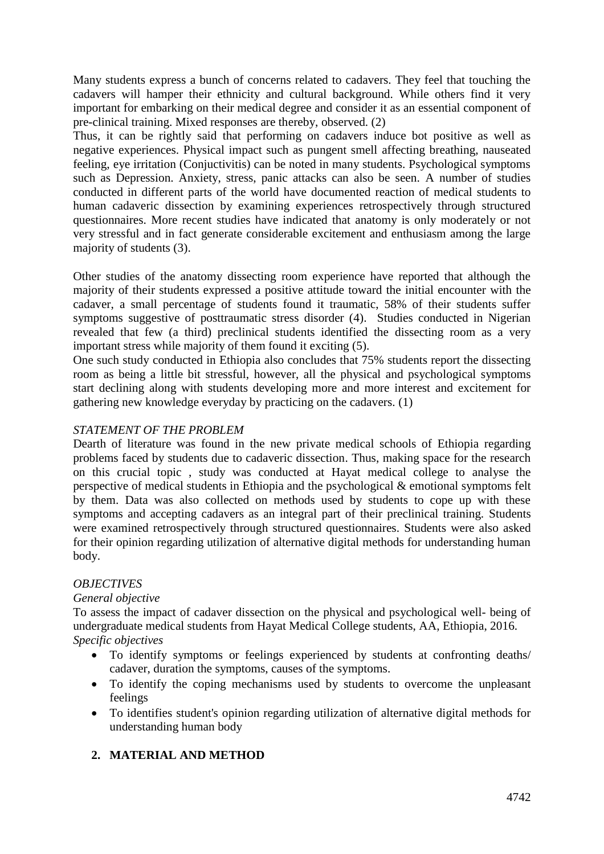Many students express a bunch of concerns related to cadavers. They feel that touching the cadavers will hamper their ethnicity and cultural background. While others find it very important for embarking on their medical degree and consider it as an essential component of pre-clinical training. Mixed responses are thereby, observed. (2)

Thus, it can be rightly said that performing on cadavers induce bot positive as well as negative experiences. Physical impact such as pungent smell affecting breathing, nauseated feeling, eye irritation (Conjuctivitis) can be noted in many students. Psychological symptoms such as Depression. Anxiety, stress, panic attacks can also be seen. A number of studies conducted in different parts of the world have documented reaction of medical students to human cadaveric dissection by examining experiences retrospectively through structured questionnaires. More recent studies have indicated that anatomy is only moderately or not very stressful and in fact generate considerable excitement and enthusiasm among the large majority of students (3).

Other studies of the anatomy dissecting room experience have reported that although the majority of their students expressed a positive attitude toward the initial encounter with the cadaver, a small percentage of students found it traumatic, 58% of their students suffer symptoms suggestive of posttraumatic stress disorder (4). Studies conducted in Nigerian revealed that few (a third) preclinical students identified the dissecting room as a very important stress while majority of them found it exciting (5).

One such study conducted in Ethiopia also concludes that 75% students report the dissecting room as being a little bit stressful, however, all the physical and psychological symptoms start declining along with students developing more and more interest and excitement for gathering new knowledge everyday by practicing on the cadavers. (1)

# *STATEMENT OF THE PROBLEM*

Dearth of literature was found in the new private medical schools of Ethiopia regarding problems faced by students due to cadaveric dissection. Thus, making space for the research on this crucial topic , study was conducted at Hayat medical college to analyse the perspective of medical students in Ethiopia and the psychological & emotional symptoms felt by them. Data was also collected on methods used by students to cope up with these symptoms and accepting cadavers as an integral part of their preclinical training. Students were examined retrospectively through structured questionnaires. Students were also asked for their opinion regarding utilization of alternative digital methods for understanding human body.

# *OBJECTIVES*

# *General objective*

To assess the impact of cadaver dissection on the physical and psychological well- being of undergraduate medical students from Hayat Medical College students, AA, Ethiopia, 2016. *Specific objectives*

- To identify symptoms or feelings experienced by students at confronting deaths/ cadaver, duration the symptoms, causes of the symptoms.
- To identify the coping mechanisms used by students to overcome the unpleasant feelings
- To identifies student's opinion regarding utilization of alternative digital methods for understanding human body

# **2. MATERIAL AND METHOD**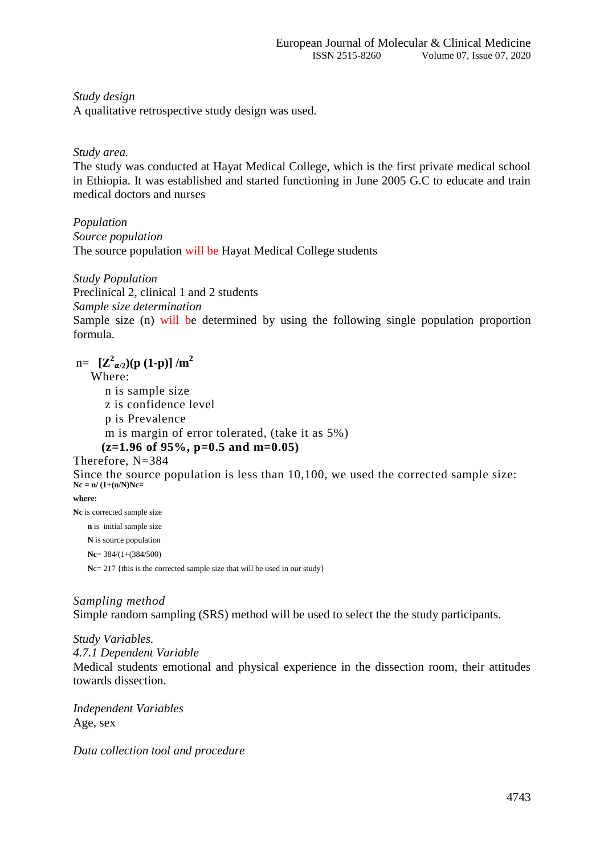*Study design*

A qualitative retrospective study design was used.

*Study area.*

The study was conducted at Hayat Medical College, which is the first private medical school in Ethiopia. It was established and started functioning in June 2005 G.C to educate and train medical doctors and nurses

*Population Source population* The source population will be Hayat Medical College students

*Study Population*

Preclinical 2, clinical 1 and 2 students

*Sample size determination*

Sample size (n) will be determined by using the following single population proportion formula.

 $m = \left[ \mathbf{Z}^2_{\alpha/2} \right) (\mathbf{p} \ (1-\mathbf{p}) \right] / m^2$ 

Where:

 n is sample size z is confidence level p is Prevalence m is margin of error tolerated, (take it as 5%)  **(z=1.96 of 95%, p=0.5 and m=0.05)**

Therefore, N=384

Since the source population is less than 10,100, we used the corrected sample size: **Nc = n/ (1+(n/N)Nc=** 

**where:**

**Nc** is corrected sample size  **n** is initial sample size  **N** is source population  **Nc**= 384/(1+(384/500) **N**c= 217 {this is the corrected sample size that will be used in our study}

# *Sampling method*

Simple random sampling (SRS) method will be used to select the the study participants.

*Study Variables.*

*4.7.1 Dependent Variable*

Medical students emotional and physical experience in the dissection room, their attitudes towards dissection.

*Independent Variables* Age, sex

*Data collection tool and procedure*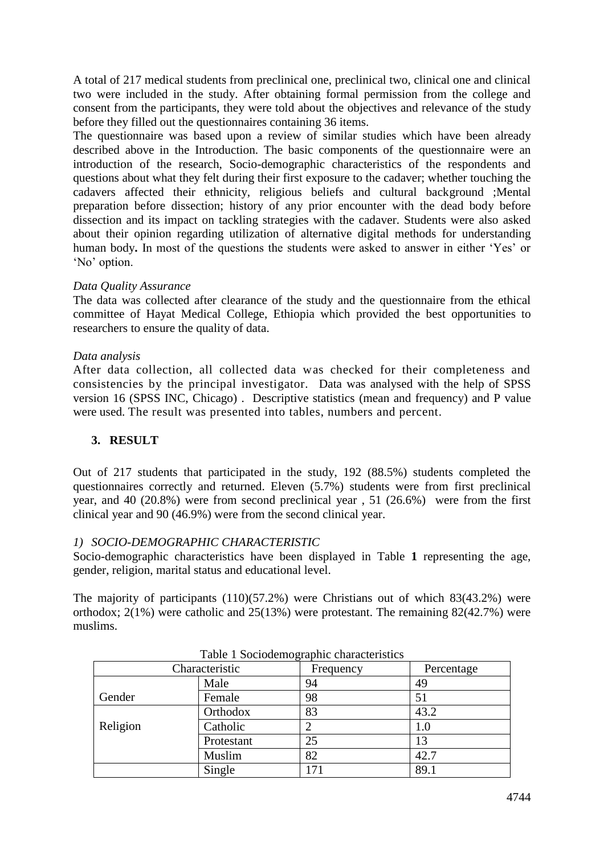A total of 217 medical students from preclinical one, preclinical two, clinical one and clinical two were included in the study. After obtaining formal permission from the college and consent from the participants, they were told about the objectives and relevance of the study before they filled out the questionnaires containing 36 items.

The questionnaire was based upon a review of similar studies which have been already described above in the Introduction. The basic components of the questionnaire were an introduction of the research, Socio-demographic characteristics of the respondents and questions about what they felt during their first exposure to the cadaver; whether touching the cadavers affected their ethnicity, religious beliefs and cultural background ;Mental preparation before dissection; history of any prior encounter with the dead body before dissection and its impact on tackling strategies with the cadaver. Students were also asked about their opinion regarding utilization of alternative digital methods for understanding human body**.** In most of the questions the students were asked to answer in either 'Yes' or 'No' option.

#### *Data Quality Assurance*

The data was collected after clearance of the study and the questionnaire from the ethical committee of Hayat Medical College, Ethiopia which provided the best opportunities to researchers to ensure the quality of data.

#### *Data analysis*

After data collection, all collected data was checked for their completeness and consistencies by the principal investigator. Data was analysed with the help of SPSS version 16 (SPSS INC, Chicago) . Descriptive statistics (mean and frequency) and P value were used. The result was presented into tables, numbers and percent.

#### **3. RESULT**

Out of 217 students that participated in the study, 192 (88.5%) students completed the questionnaires correctly and returned. Eleven (5.7%) students were from first preclinical year, and 40 (20.8%) were from second preclinical year , 51 (26.6%) were from the first clinical year and 90 (46.9%) were from the second clinical year.

# *1) SOCIO-DEMOGRAPHIC CHARACTERISTIC*

Socio-demographic characteristics have been displayed in Table **1** representing the age, gender, religion, marital status and educational level.

The majority of participants (110)(57.2%) were Christians out of which 83(43.2%) were orthodox; 2(1%) were catholic and 25(13%) were protestant. The remaining 82(42.7%) were muslims.

| Table 1 Socious mographic characteristics |            |           |            |  |
|-------------------------------------------|------------|-----------|------------|--|
| Characteristic                            |            | Frequency | Percentage |  |
|                                           | Male       | 94        | 49         |  |
| Gender                                    | Female     | 98        | 51         |  |
|                                           | Orthodox   | 83        | 43.2       |  |
| Religion                                  | Catholic   |           | 1.0        |  |
|                                           | Protestant | 25        | 13         |  |
|                                           | Muslim     | 82        | 42.7       |  |
|                                           | Single     |           | 89.1       |  |

Table 1 Sociodemographic characteristics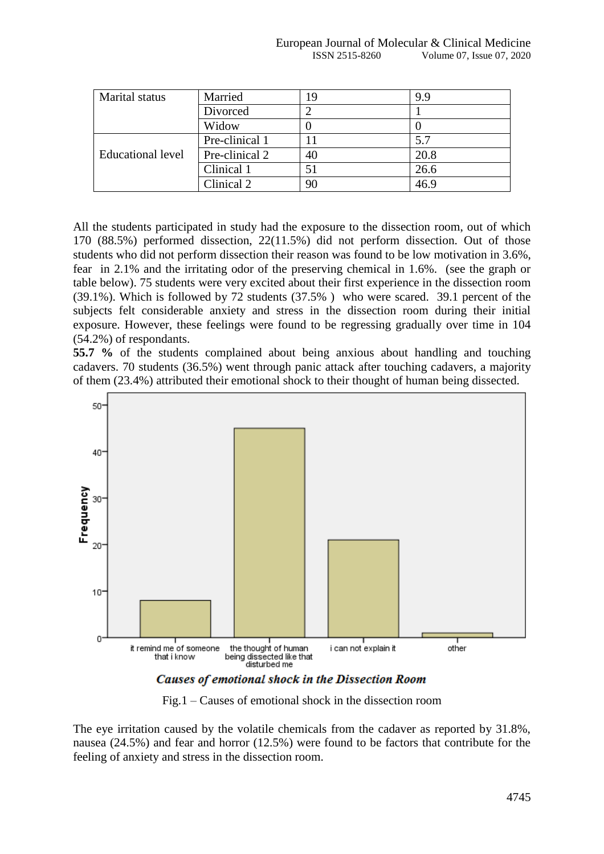| <b>Marital</b> status    | Married        | 19 | 9.9  |
|--------------------------|----------------|----|------|
|                          | Divorced       |    |      |
|                          | Widow          |    |      |
|                          | Pre-clinical 1 |    | 5.7  |
| <b>Educational level</b> | Pre-clinical 2 | 40 | 20.8 |
|                          | Clinical 1     | 51 | 26.6 |
|                          | Clinical 2     | 90 | 46.9 |

All the students participated in study had the exposure to the dissection room, out of which 170 (88.5%) performed dissection, 22(11.5%) did not perform dissection. Out of those students who did not perform dissection their reason was found to be low motivation in 3.6%, fear in 2.1% and the irritating odor of the preserving chemical in 1.6%. (see the graph or table below). 75 students were very excited about their first experience in the dissection room (39.1%). Which is followed by 72 students (37.5% ) who were scared. 39.1 percent of the subjects felt considerable anxiety and stress in the dissection room during their initial exposure. However, these feelings were found to be regressing gradually over time in 104 (54.2%) of respondants.

**55.7 %** of the students complained about being anxious about handling and touching cadavers. 70 students (36.5%) went through panic attack after touching cadavers, a majority of them (23.4%) attributed their emotional shock to their thought of human being dissected.



**Causes of emotional shock in the Dissection Room** 

Fig.1 – Causes of emotional shock in the dissection room

The eye irritation caused by the volatile chemicals from the cadaver as reported by 31.8%, nausea (24.5%) and fear and horror (12.5%) were found to be factors that contribute for the feeling of anxiety and stress in the dissection room.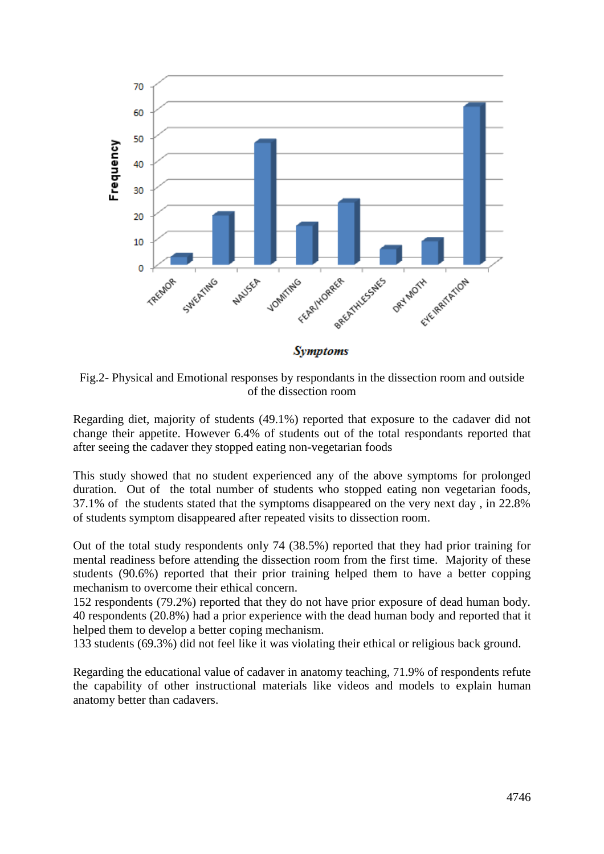

Fig.2- Physical and Emotional responses by respondants in the dissection room and outside of the dissection room

Regarding diet, majority of students (49.1%) reported that exposure to the cadaver did not change their appetite. However 6.4% of students out of the total respondants reported that after seeing the cadaver they stopped eating non-vegetarian foods

This study showed that no student experienced any of the above symptoms for prolonged duration. Out of the total number of students who stopped eating non vegetarian foods, 37.1% of the students stated that the symptoms disappeared on the very next day , in 22.8% of students symptom disappeared after repeated visits to dissection room.

Out of the total study respondents only 74 (38.5%) reported that they had prior training for mental readiness before attending the dissection room from the first time. Majority of these students (90.6%) reported that their prior training helped them to have a better copping mechanism to overcome their ethical concern.

152 respondents (79.2%) reported that they do not have prior exposure of dead human body. 40 respondents (20.8%) had a prior experience with the dead human body and reported that it helped them to develop a better coping mechanism.

133 students (69.3%) did not feel like it was violating their ethical or religious back ground.

Regarding the educational value of cadaver in anatomy teaching, 71.9% of respondents refute the capability of other instructional materials like videos and models to explain human anatomy better than cadavers.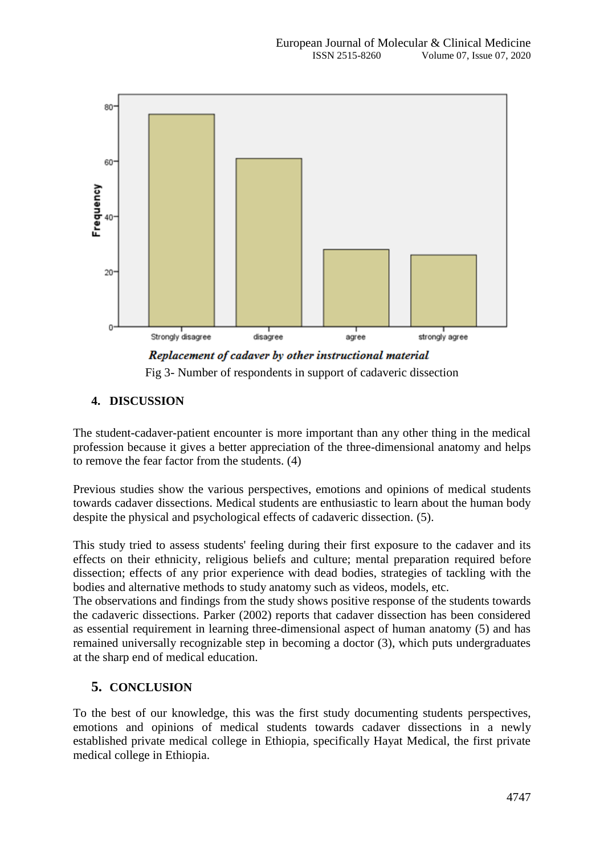

Fig 3- Number of respondents in support of cadaveric dissection

# **4. DISCUSSION**

The student-cadaver-patient encounter is more important than any other thing in the medical profession because it gives a better appreciation of the three-dimensional anatomy and helps to remove the fear factor from the students. (4)

Previous studies show the various perspectives, emotions and opinions of medical students towards cadaver dissections. Medical students are enthusiastic to learn about the human body despite the physical and psychological effects of cadaveric dissection. (5).

This study tried to assess students' feeling during their first exposure to the cadaver and its effects on their ethnicity, religious beliefs and culture; mental preparation required before dissection; effects of any prior experience with dead bodies, strategies of tackling with the bodies and alternative methods to study anatomy such as videos, models, etc.

The observations and findings from the study shows positive response of the students towards the cadaveric dissections. Parker (2002) reports that cadaver dissection has been considered as essential requirement in learning three-dimensional aspect of human anatomy (5) and has remained universally recognizable step in becoming a doctor (3), which puts undergraduates at the sharp end of medical education.

# **5. CONCLUSION**

To the best of our knowledge, this was the first study documenting students perspectives, emotions and opinions of medical students towards cadaver dissections in a newly established private medical college in Ethiopia, specifically Hayat Medical, the first private medical college in Ethiopia.